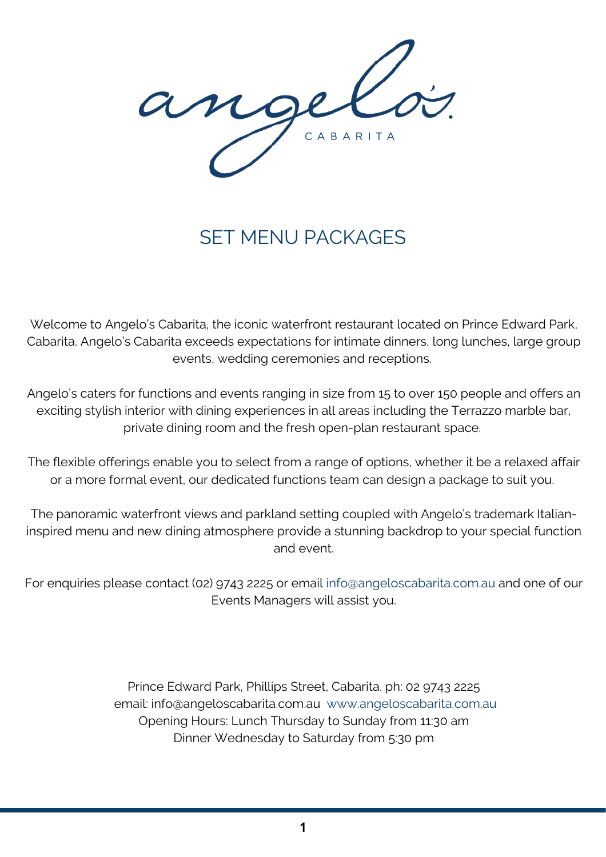ang CABARITA

# SET MENU PACKAGES

Welcome to Angelo's Cabarita, the iconic waterfront restaurant located on Prince Edward Park, Cabarita. Angelo's Cabarita exceeds expectations for intimate dinners, long lunches, large group events, wedding ceremonies and receptions.

Angelo's caters for functions and events ranging in size from 15 to over 150 people and offers an exciting stylish interior with dining experiences in all areas including the Terrazzo marble bar, private dining room and the fresh open-plan restaurant space.

The flexible offerings enable you to select from a range of options, whether it be a relaxed affair or a more formal event, our dedicated functions team can design a package to suit you.

The panoramic waterfront views and parkland setting coupled with Angelo's trademark Italianinspired menu and new dining atmosphere provide a stunning backdrop to your special function and event.

For enquiries please contact (02) 9743 2225 or email [info@angeloscabarita.com.au](mailto:info@angeloscabarita.com.au) and one of our Events Managers will assist you.

> Prince Edward Park, Phillips Street, Cabarita. ph: 02 9743 2225 email: [info@angeloscabarita.com.au](mailto:info@angeloscabarita.com.au) [www.angeloscabarita.com.au](http://www.angeloscabarita.com.au/) Opening Hours: Lunch Thursday to Sunday from 11:30 am Dinner Wednesday to Saturday from 5:30 pm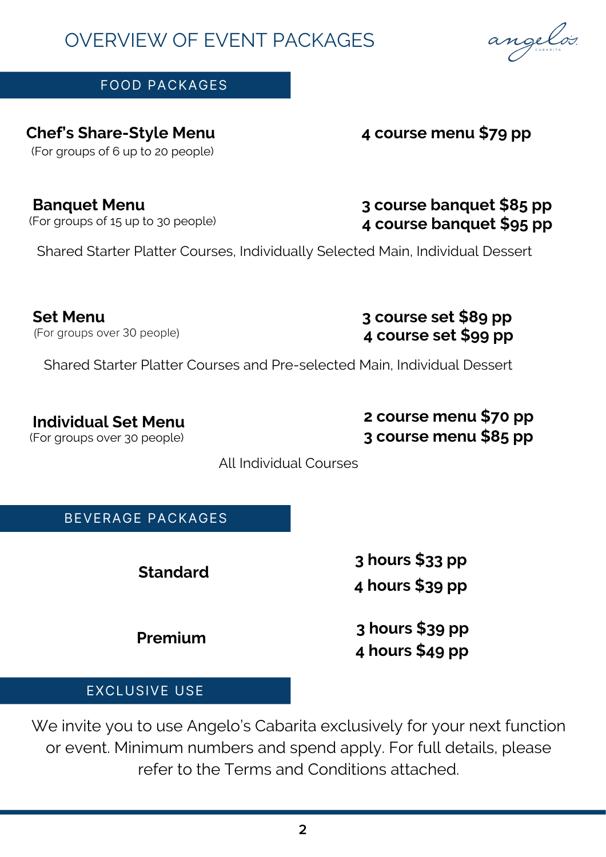# OVERVIEW OF EVENT PACKAGES

# FOOD PACKAGES

#### **Chef's Share-Style Menu** (For groups of 6 up to 20 people)

**Banquet Menu** (For groups of 15 up to 30 people)

Shared Starter Platter Courses, Individually Selected Main, Individual Dessert

**Set Menu** (For groups over 30 people)

Shared Starter Platter Courses and Pre-selected Main, Individual Dessert

**Individual Set Menu** (For groups over 30 people)

All Individual Courses

BEVERAGE PACKAGES

**Standard**

**Premium**

**4 hours \$39 pp 3 hours \$39 pp**

**3 hours \$33 pp**

**4 hours \$49 pp**

EXCLUSIVE USE

We invite you to use Angelo's Cabarita exclusively for your next function or event. Minimum numbers and spend apply. For full details, please refer to the Terms and Conditions attached.

# angeløs.

# **3 course banquet \$85 pp 4 course banquet \$95 pp**

**4 course menu \$79 pp**

**3 course set \$89 pp 4 course set \$99 pp**

**2 course menu \$70 pp 3 course menu \$85 pp**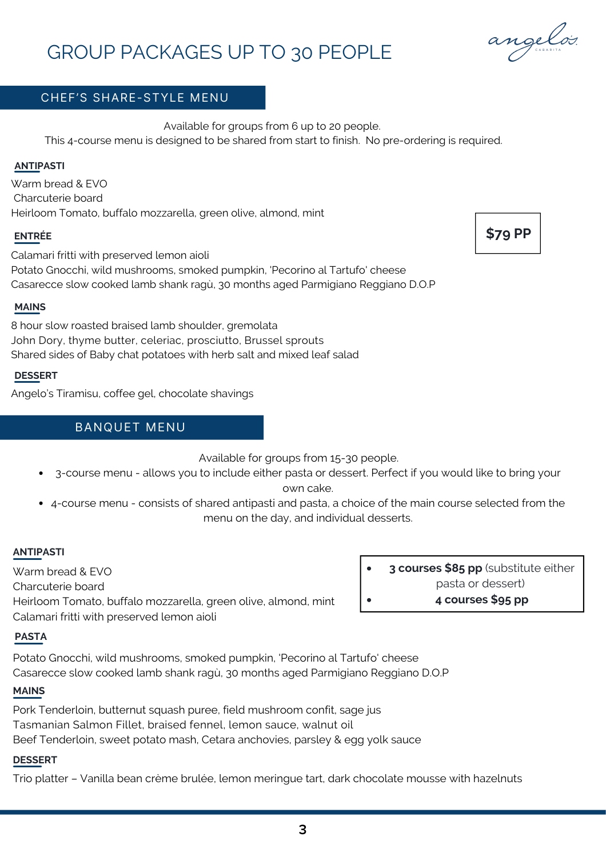# GROUP PACKAGES UP TO 30 PEOPLE

## CHEF'S SHARE-STYLE MENU

Available for groups from 6 up to 20 people.

This 4-course menu is designed to be shared from start to finish. No pre-ordering is required.

#### **ANTIPASTI**

Warm bread & EVO Charcuterie board Heirloom Tomato, buffalo mozzarella, green olive, almond, mint

#### **ENTRÉE**

Calamari fritti with preserved lemon aioli Potato Gnocchi, wild mushrooms, smoked pumpkin, 'Pecorino al Tartufo' cheese Casarecce slow cooked lamb shank ragù, 30 months aged Parmigiano Reggiano D.O.P

#### **MAINS**

8 hour slow roasted braised lamb shoulder, gremolata John Dory, thyme butter, celeriac, prosciutto, Brussel sprouts Shared sides of Baby chat potatoes with herb salt and mixed leaf salad

#### **DESSERT**

Angelo's Tiramisu, coffee gel, chocolate shavings

#### BANQUET MENU

Available for groups from 15-30 people.

- 3-course menu allows you to include either pasta or dessert. Perfect if you would like to bring your own cake.
- 4-course menu consists of shared antipasti and pasta, a choice of the main course selected from the menu on the day, and individual desserts.

#### **ANTIPASTI**

Warm bread & EVO Charcuterie board Heirloom Tomato, buffalo mozzarella, green olive, almond, mint Calamari fritti with preserved lemon aioli

#### **PASTA**

Potato Gnocchi, wild mushrooms, smoked pumpkin, 'Pecorino al Tartufo' cheese Casarecce slow cooked lamb shank ragù, 30 months aged Parmigiano Reggiano D.O.P

#### **MAINS**

Pork Tenderloin, butternut squash puree, field mushroom confit, sage jus Tasmanian Salmon Fillet, braised fennel, lemon sauce, walnut oil Beef Tenderloin, sweet potato mash, Cetara anchovies, parsley & egg yolk sauce

#### **DESSERT**

Trio platter – Vanilla bean crème brulée, lemon meringue tart, dark chocolate mousse with hazelnuts

**3 courses \$85 pp** (substitute either pasta or dessert)



**\$79 PP**

**4 courses \$95 pp**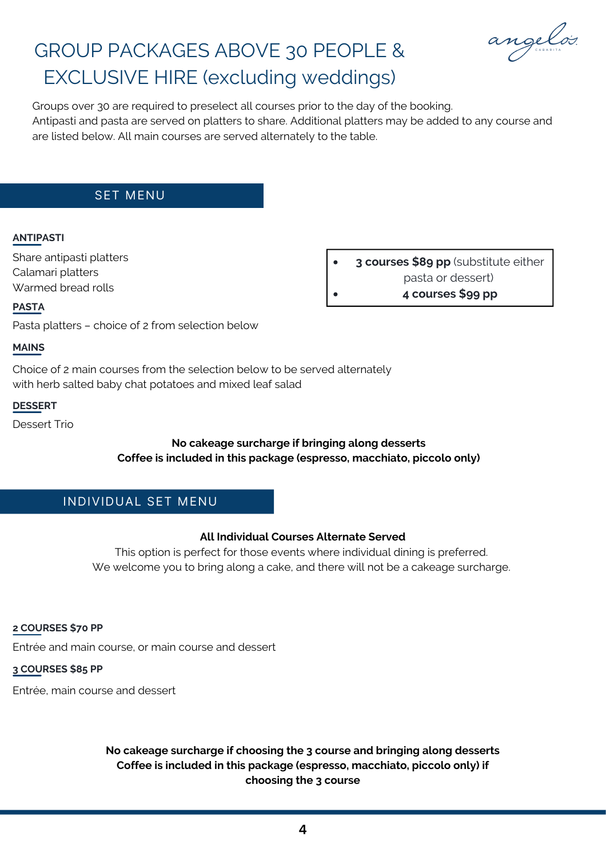

# GROUP PACKAGES ABOVE 30 PEOPLE & EXCLUSIVE HIRE (excluding weddings)

Groups over 30 are required to preselect all courses prior to the day of the booking. Antipasti and pasta are served on platters to share. Additional platters may be added to any course and are listed below. All main courses are served alternately to the table.

#### SET MENU

#### **ANTIPASTI**

Share antipasti platters Calamari platters Warmed bread rolls

**3 courses \$89 pp** (substitute either pasta or dessert) **4 courses \$99 pp**

#### **PASTA**

Pasta platters – choice of 2 from selection below

#### **MAINS**

Choice of 2 main courses from the selection below to be served alternately with herb salted baby chat potatoes and mixed leaf salad

#### **DESSERT**

Dessert Trio

#### **No cakeage surcharge if bringing along desserts Coffee is included in this package (espresso, macchiato, piccolo only)**

#### INDIVIDUAL SET MENU

#### **All Individual Courses Alternate Served**

This option is perfect for those events where individual dining is preferred. We welcome you to bring along a cake, and there will not be a cakeage surcharge.

#### **2 COURSES \$70 PP**

Entrée and main course, or main course and dessert

**3 COURSES \$85 PP**

Entrée, main course and dessert

#### **No cakeage surcharge if choosing the 3 course and bringing along desserts Coffee is included in this package (espresso, macchiato, piccolo only) if choosing the 3 course**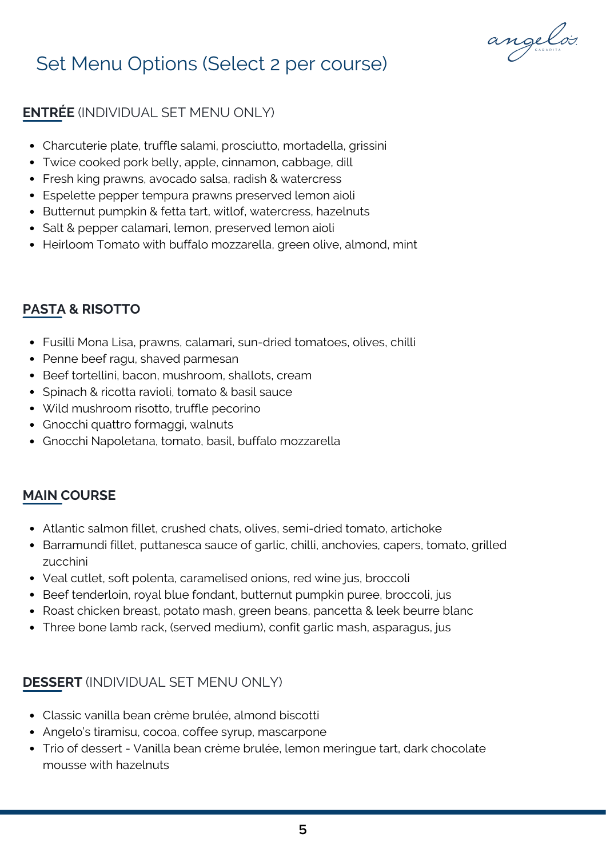

# Set Menu Options (Select 2 per course)

# **ENTRÉE** (INDIVIDUAL SET MENU ONLY)

- Charcuterie plate, truffle salami, prosciutto, mortadella, grissini
- Twice cooked pork belly, apple, cinnamon, cabbage, dill
- Fresh king prawns, avocado salsa, radish & watercress
- Espelette pepper tempura prawns preserved lemon aioli
- Butternut pumpkin & fetta tart, witlof, watercress, hazelnuts
- Salt & pepper calamari, lemon, preserved lemon aioli
- Heirloom Tomato with buffalo mozzarella, green olive, almond, mint

## **PASTA & RISOTTO**

- Fusilli Mona Lisa, prawns, calamari, sun-dried tomatoes, olives, chilli
- Penne beef ragu, shaved parmesan
- Beef tortellini, bacon, mushroom, shallots, cream
- Spinach & ricotta ravioli, tomato & basil sauce
- Wild mushroom risotto, truffle pecorino
- Gnocchi quattro formaggi, walnuts
- Gnocchi Napoletana, tomato, basil, buffalo mozzarella

### **MAIN COURSE**

- Atlantic salmon fillet, crushed chats, olives, semi-dried tomato, artichoke
- Barramundi fillet, puttanesca sauce of garlic, chilli, anchovies, capers, tomato, grilled zucchini
- Veal cutlet, soft polenta, caramelised onions, red wine jus, broccoli
- Beef tenderloin, royal blue fondant, butternut pumpkin puree, broccoli, jus
- Roast chicken breast, potato mash, green beans, pancetta & leek beurre blanc
- Three bone lamb rack, (served medium), confit garlic mash, asparagus, jus

## **DESSERT** (INDIVIDUAL SET MENU ONLY)

- Classic vanilla bean crème brulée, almond biscotti
- Angelo's tiramisu, cocoa, coffee syrup, mascarpone
- Trio of dessert Vanilla bean crème brulée, lemon meringue tart, dark chocolate mousse with hazelnuts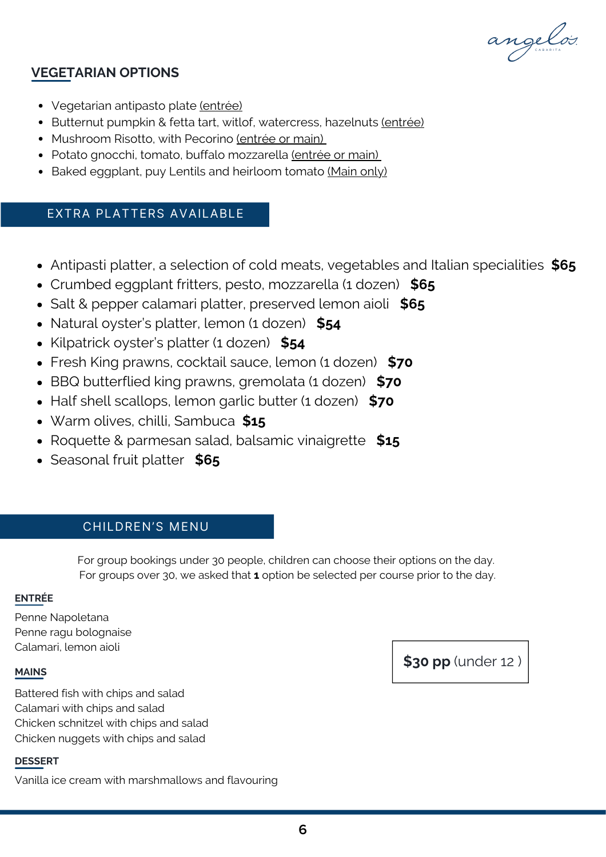angelos.

### **VEGETARIAN OPTIONS**

- Vegetarian antipasto plate (entrée)
- Butternut pumpkin & fetta tart, witlof, watercress, hazelnuts (entrée)
- Mushroom Risotto, with Pecorino (entrée or main)
- Potato gnocchi, tomato, buffalo mozzarella (entrée or main)
- Baked eggplant, puy Lentils and heirloom tomato (Main only)

## EXTRA PLATTERS AVAILABLE

- Antipasti platter, a selection of cold meats, vegetables and Italian specialities **\$65**
- Crumbed eggplant fritters, pesto, mozzarella (1 dozen) **\$65**
- Salt & pepper calamari platter, preserved lemon aioli **\$65**
- Natural oyster's platter, lemon (1 dozen) **\$54**
- Kilpatrick oyster's platter (1 dozen) **\$54**
- Fresh King prawns, cocktail sauce, lemon (1 dozen) **\$70**
- BBQ butterflied king prawns, gremolata (1 dozen) **\$70**
- Half shell scallops, lemon garlic butter (1 dozen) **\$70**
- Warm olives, chilli, Sambuca **\$15**
- Roquette & parmesan salad, balsamic vinaigrette **\$15**
- Seasonal fruit platter **\$65**

#### CHILDREN'S MENU

For group bookings under 30 people, children can choose their options on the day. For groups over 30, we asked that **1** option be selected per course prior to the day.

#### **ENTRÉE**

Penne Napoletana Penne ragu bolognaise Calamari, lemon aioli

#### **MAINS**

Battered fish with chips and salad Calamari with chips and salad Chicken schnitzel with chips and salad Chicken nuggets with chips and salad

#### **DESSERT**

Vanilla ice cream with marshmallows and flavouring

**\$30 pp** (under 12 )